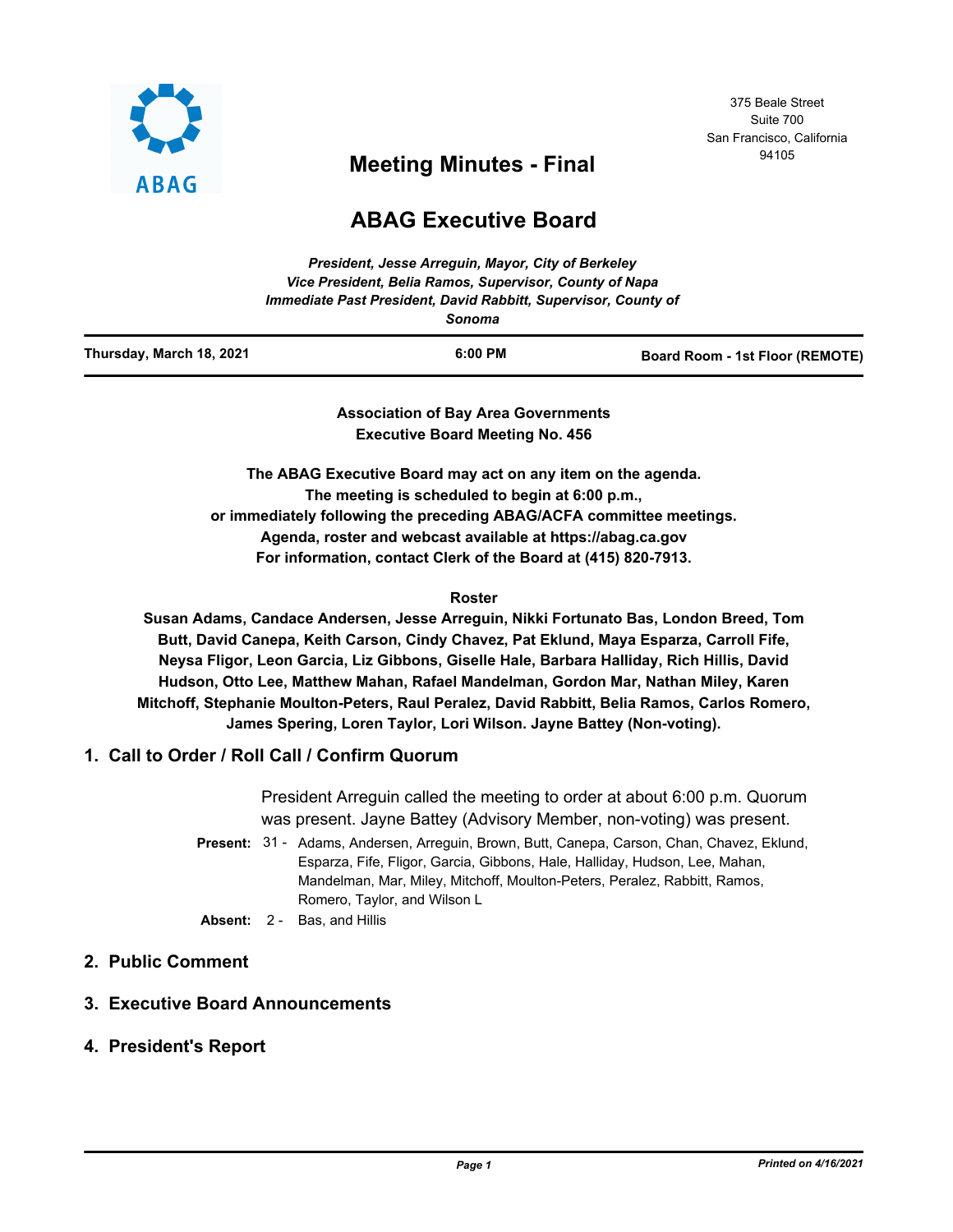

## 375 Beale Street Suite 700 San Francisco, California

# <sup>94105</sup> **Meeting Minutes - Final**

## **ABAG Executive Board**

|                          | Immediate Past President, David Rabbitt, Supervisor, County of<br>Sonoma |                                 |
|--------------------------|--------------------------------------------------------------------------|---------------------------------|
| Thursday, March 18, 2021 | 6:00 PM                                                                  | Board Room - 1st Floor (REMOTE) |

**Association of Bay Area Governments Executive Board Meeting No. 456**

**The ABAG Executive Board may act on any item on the agenda. The meeting is scheduled to begin at 6:00 p.m., or immediately following the preceding ABAG/ACFA committee meetings. Agenda, roster and webcast available at https://abag.ca.gov For information, contact Clerk of the Board at (415) 820-7913.**

#### **Roster**

**Susan Adams, Candace Andersen, Jesse Arreguin, Nikki Fortunato Bas, London Breed, Tom Butt, David Canepa, Keith Carson, Cindy Chavez, Pat Eklund, Maya Esparza, Carroll Fife, Neysa Fligor, Leon Garcia, Liz Gibbons, Giselle Hale, Barbara Halliday, Rich Hillis, David Hudson, Otto Lee, Matthew Mahan, Rafael Mandelman, Gordon Mar, Nathan Miley, Karen Mitchoff, Stephanie Moulton-Peters, Raul Peralez, David Rabbitt, Belia Ramos, Carlos Romero, James Spering, Loren Taylor, Lori Wilson. Jayne Battey (Non-voting).**

#### **1. Call to Order / Roll Call / Confirm Quorum**

President Arreguin called the meeting to order at about 6:00 p.m. Quorum was present. Jayne Battey (Advisory Member, non-voting) was present.

- Present: 31 Adams, Andersen, Arreguin, Brown, Butt, Canepa, Carson, Chan, Chavez, Eklund, Esparza, Fife, Fligor, Garcia, Gibbons, Hale, Halliday, Hudson, Lee, Mahan, Mandelman, Mar, Miley, Mitchoff, Moulton-Peters, Peralez, Rabbitt, Ramos, Romero, Taylor, and Wilson L
- **Absent:** 2 Bas, and Hillis

## **2. Public Comment**

### **3. Executive Board Announcements**

**4. President's Report**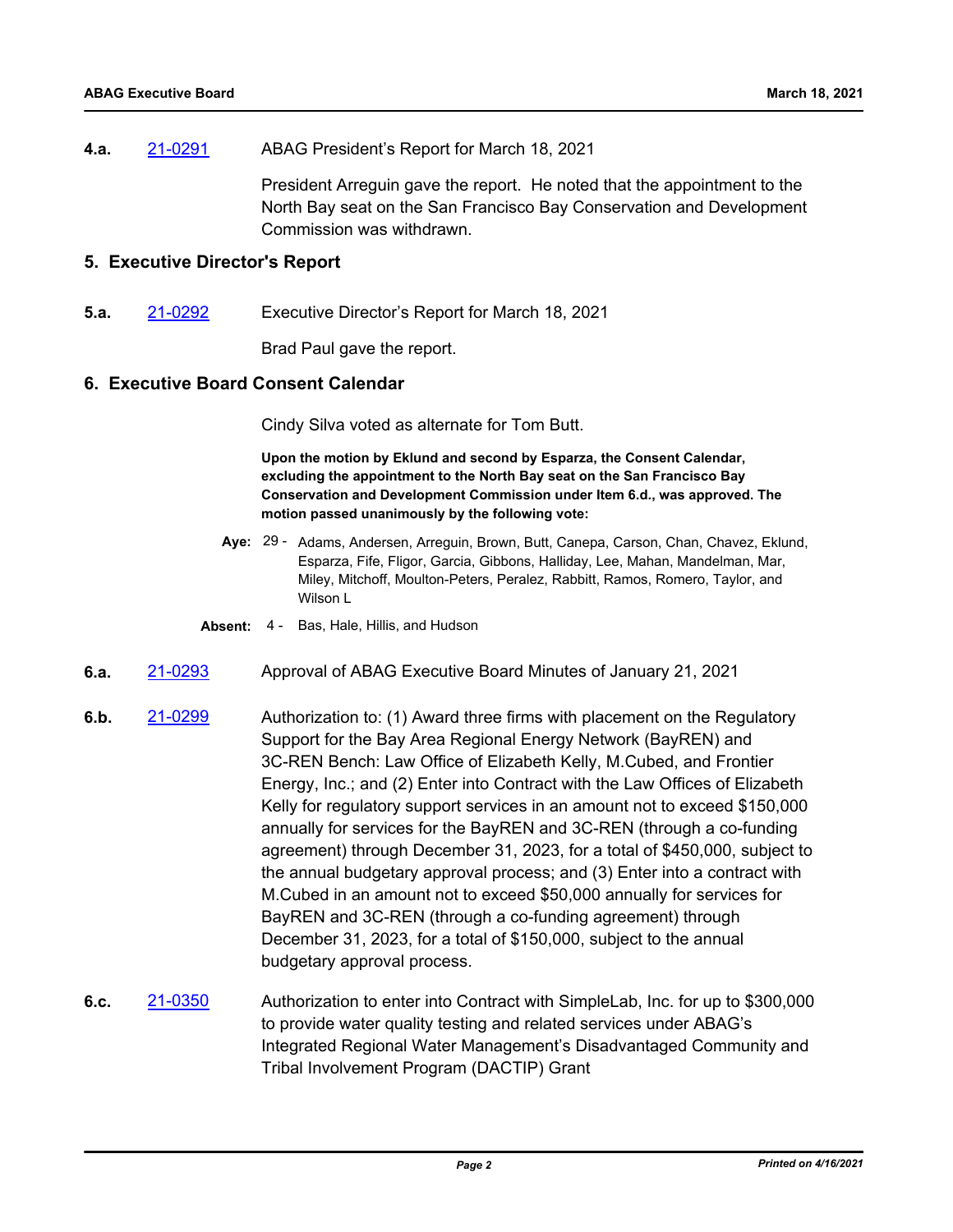**4.a.** [21-0291](http://mtc.legistar.com/gateway.aspx?m=l&id=/matter.aspx?key=21884) ABAG President's Report for March 18, 2021

President Arreguin gave the report. He noted that the appointment to the North Bay seat on the San Francisco Bay Conservation and Development Commission was withdrawn.

#### **5. Executive Director's Report**

**5.a.** [21-0292](http://mtc.legistar.com/gateway.aspx?m=l&id=/matter.aspx?key=21885) Executive Director's Report for March 18, 2021

Brad Paul gave the report.

#### **6. Executive Board Consent Calendar**

Cindy Silva voted as alternate for Tom Butt.

**Upon the motion by Eklund and second by Esparza, the Consent Calendar, excluding the appointment to the North Bay seat on the San Francisco Bay Conservation and Development Commission under Item 6.d., was approved. The motion passed unanimously by the following vote:**

- Aye: 29 Adams, Andersen, Arreguin, Brown, Butt, Canepa, Carson, Chan, Chavez, Eklund, Esparza, Fife, Fligor, Garcia, Gibbons, Halliday, Lee, Mahan, Mandelman, Mar, Miley, Mitchoff, Moulton-Peters, Peralez, Rabbitt, Ramos, Romero, Taylor, and Wilson L
- **Absent:** 4 Bas, Hale, Hillis, and Hudson
- **6.a.** [21-0293](http://mtc.legistar.com/gateway.aspx?m=l&id=/matter.aspx?key=21886) Approval of ABAG Executive Board Minutes of January 21, 2021
- **6.b.** [21-0299](http://mtc.legistar.com/gateway.aspx?m=l&id=/matter.aspx?key=21892) Authorization to: (1) Award three firms with placement on the Regulatory Support for the Bay Area Regional Energy Network (BayREN) and 3C-REN Bench: Law Office of Elizabeth Kelly, M.Cubed, and Frontier Energy, Inc.; and (2) Enter into Contract with the Law Offices of Elizabeth Kelly for regulatory support services in an amount not to exceed \$150,000 annually for services for the BayREN and 3C-REN (through a co-funding agreement) through December 31, 2023, for a total of \$450,000, subject to the annual budgetary approval process; and (3) Enter into a contract with M.Cubed in an amount not to exceed \$50,000 annually for services for BayREN and 3C-REN (through a co-funding agreement) through December 31, 2023, for a total of \$150,000, subject to the annual budgetary approval process.
- **6.c.** [21-0350](http://mtc.legistar.com/gateway.aspx?m=l&id=/matter.aspx?key=21943) Authorization to enter into Contract with SimpleLab, Inc. for up to \$300,000 to provide water quality testing and related services under ABAG's Integrated Regional Water Management's Disadvantaged Community and Tribal Involvement Program (DACTIP) Grant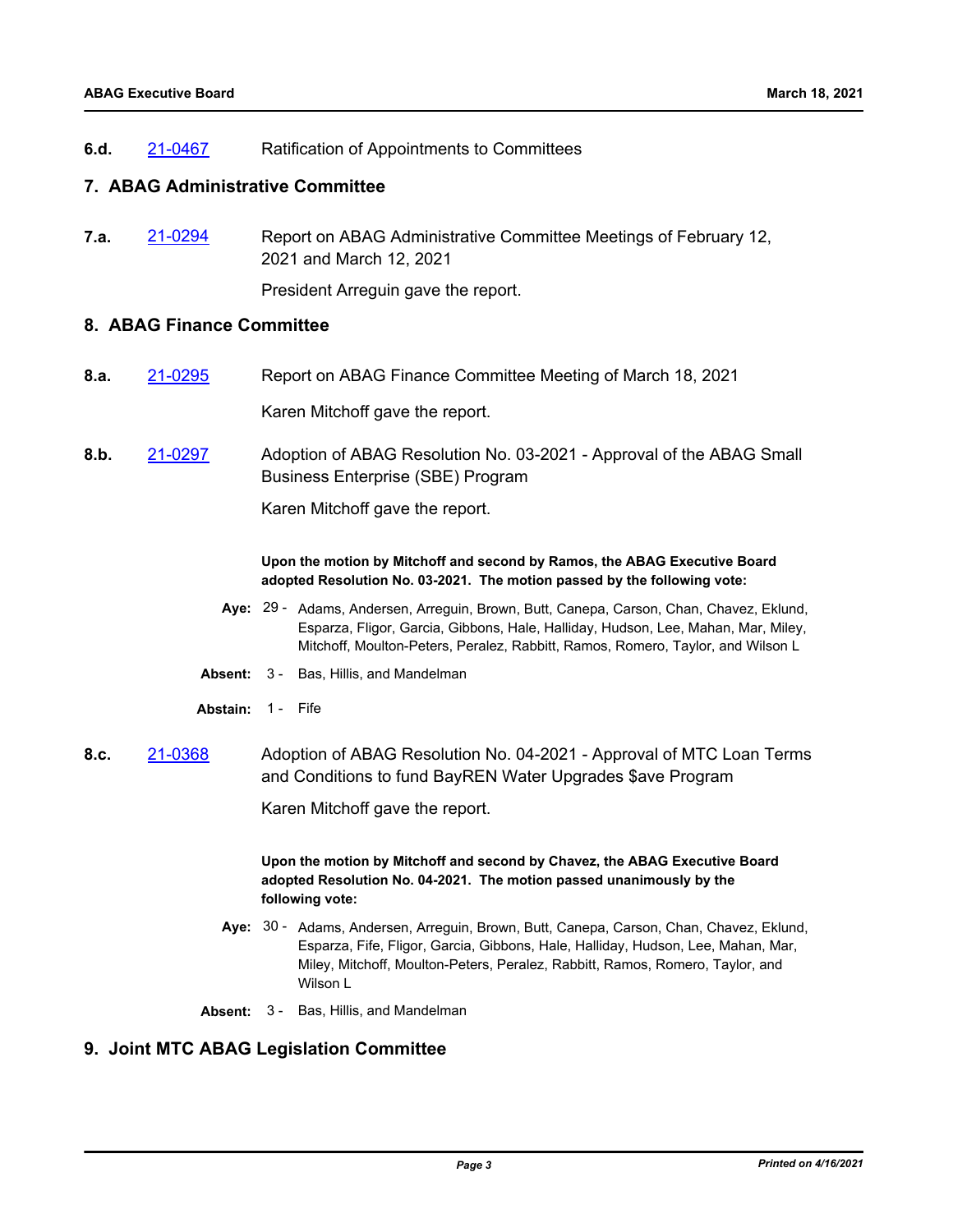**6.d.** [21-0467](http://mtc.legistar.com/gateway.aspx?m=l&id=/matter.aspx?key=22060) Ratification of Appointments to Committees

#### **7. ABAG Administrative Committee**

**7.a.** [21-0294](http://mtc.legistar.com/gateway.aspx?m=l&id=/matter.aspx?key=21887) Report on ABAG Administrative Committee Meetings of February 12, 2021 and March 12, 2021

President Arreguin gave the report.

#### **8. ABAG Finance Committee**

**8.a.** [21-0295](http://mtc.legistar.com/gateway.aspx?m=l&id=/matter.aspx?key=21888) Report on ABAG Finance Committee Meeting of March 18, 2021

Karen Mitchoff gave the report.

**8.b.** [21-0297](http://mtc.legistar.com/gateway.aspx?m=l&id=/matter.aspx?key=21890) Adoption of ABAG Resolution No. 03-2021 - Approval of the ABAG Small Business Enterprise (SBE) Program

Karen Mitchoff gave the report.

#### **Upon the motion by Mitchoff and second by Ramos, the ABAG Executive Board adopted Resolution No. 03-2021. The motion passed by the following vote:**

- Aye: 29 Adams, Andersen, Arreguin, Brown, Butt, Canepa, Carson, Chan, Chavez, Eklund, Esparza, Fligor, Garcia, Gibbons, Hale, Halliday, Hudson, Lee, Mahan, Mar, Miley, Mitchoff, Moulton-Peters, Peralez, Rabbitt, Ramos, Romero, Taylor, and Wilson L
- **Absent:** 3 Bas, Hillis, and Mandelman
- **Abstain:** 1 Fife
- **8.c.** [21-0368](http://mtc.legistar.com/gateway.aspx?m=l&id=/matter.aspx?key=21961) Adoption of ABAG Resolution No. 04-2021 Approval of MTC Loan Terms and Conditions to fund BayREN Water Upgrades \$ave Program

Karen Mitchoff gave the report.

**Upon the motion by Mitchoff and second by Chavez, the ABAG Executive Board adopted Resolution No. 04-2021. The motion passed unanimously by the following vote:**

- Aye: 30 Adams, Andersen, Arreguin, Brown, Butt, Canepa, Carson, Chan, Chavez, Eklund, Esparza, Fife, Fligor, Garcia, Gibbons, Hale, Halliday, Hudson, Lee, Mahan, Mar, Miley, Mitchoff, Moulton-Peters, Peralez, Rabbitt, Ramos, Romero, Taylor, and Wilson L
- **Absent:** 3 Bas, Hillis, and Mandelman

## **9. Joint MTC ABAG Legislation Committee**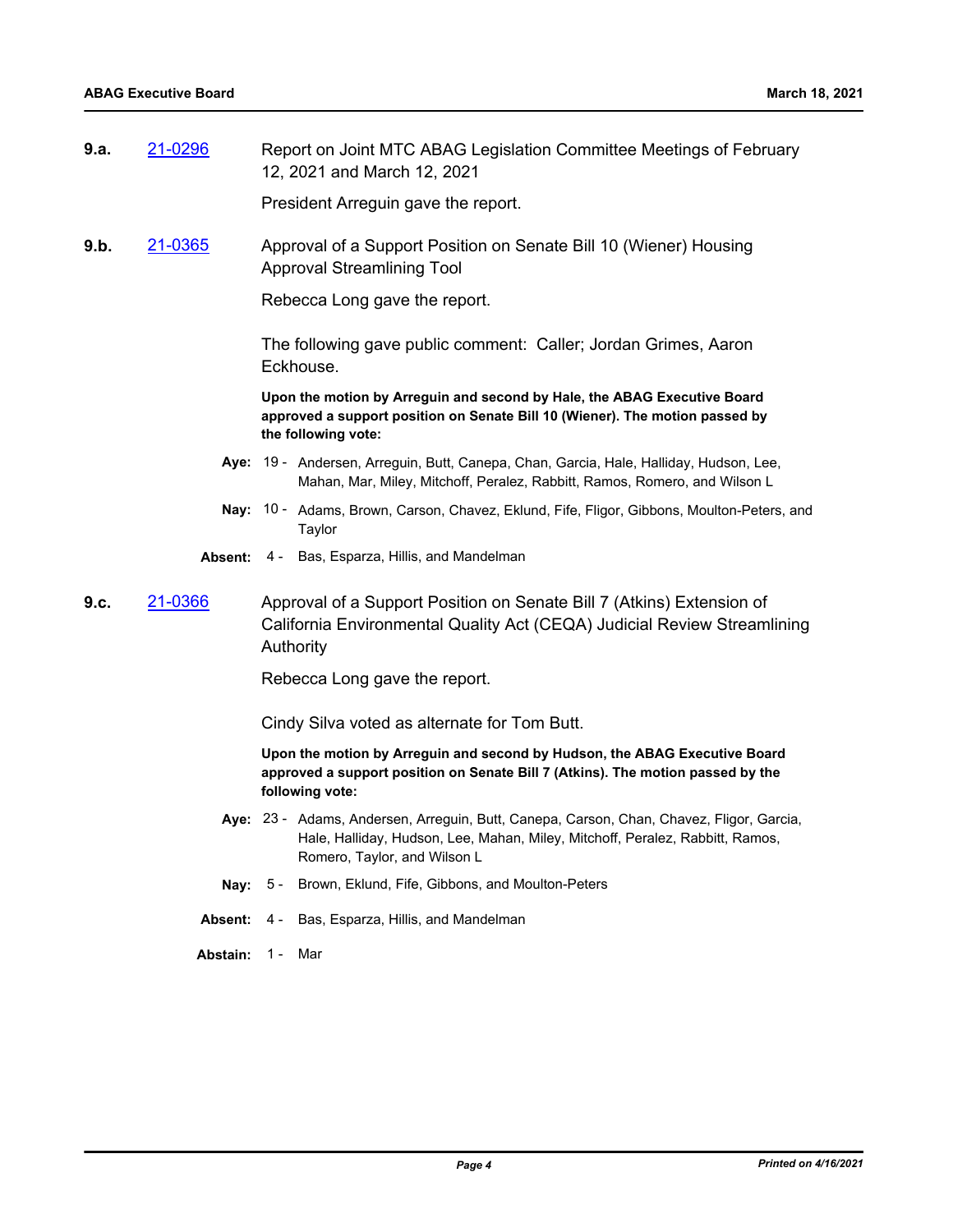**9.a.** [21-0296](http://mtc.legistar.com/gateway.aspx?m=l&id=/matter.aspx?key=21889) Report on Joint MTC ABAG Legislation Committee Meetings of February 12, 2021 and March 12, 2021

President Arreguin gave the report.

**9.b.** [21-0365](http://mtc.legistar.com/gateway.aspx?m=l&id=/matter.aspx?key=21958) Approval of a Support Position on Senate Bill 10 (Wiener) Housing Approval Streamlining Tool

Rebecca Long gave the report.

The following gave public comment: Caller; Jordan Grimes, Aaron Eckhouse.

**Upon the motion by Arreguin and second by Hale, the ABAG Executive Board approved a support position on Senate Bill 10 (Wiener). The motion passed by the following vote:**

- Aye: 19 Andersen, Arreguin, Butt, Canepa, Chan, Garcia, Hale, Halliday, Hudson, Lee, Mahan, Mar, Miley, Mitchoff, Peralez, Rabbitt, Ramos, Romero, and Wilson L
- Nay: 10 Adams, Brown, Carson, Chavez, Eklund, Fife, Fligor, Gibbons, Moulton-Peters, and Taylor
- **Absent:** 4 Bas, Esparza, Hillis, and Mandelman
- **9.c.** [21-0366](http://mtc.legistar.com/gateway.aspx?m=l&id=/matter.aspx?key=21959) Approval of a Support Position on Senate Bill 7 (Atkins) Extension of California Environmental Quality Act (CEQA) Judicial Review Streamlining Authority

Rebecca Long gave the report.

Cindy Silva voted as alternate for Tom Butt.

**Upon the motion by Arreguin and second by Hudson, the ABAG Executive Board approved a support position on Senate Bill 7 (Atkins). The motion passed by the following vote:**

- Aye: 23 Adams, Andersen, Arreguin, Butt, Canepa, Carson, Chan, Chavez, Fligor, Garcia, Hale, Halliday, Hudson, Lee, Mahan, Miley, Mitchoff, Peralez, Rabbitt, Ramos, Romero, Taylor, and Wilson L
- **Nay:** 5 Brown, Eklund, Fife, Gibbons, and Moulton-Peters
- **Absent:** 4 Bas, Esparza, Hillis, and Mandelman
- **Abstain:** 1 Mar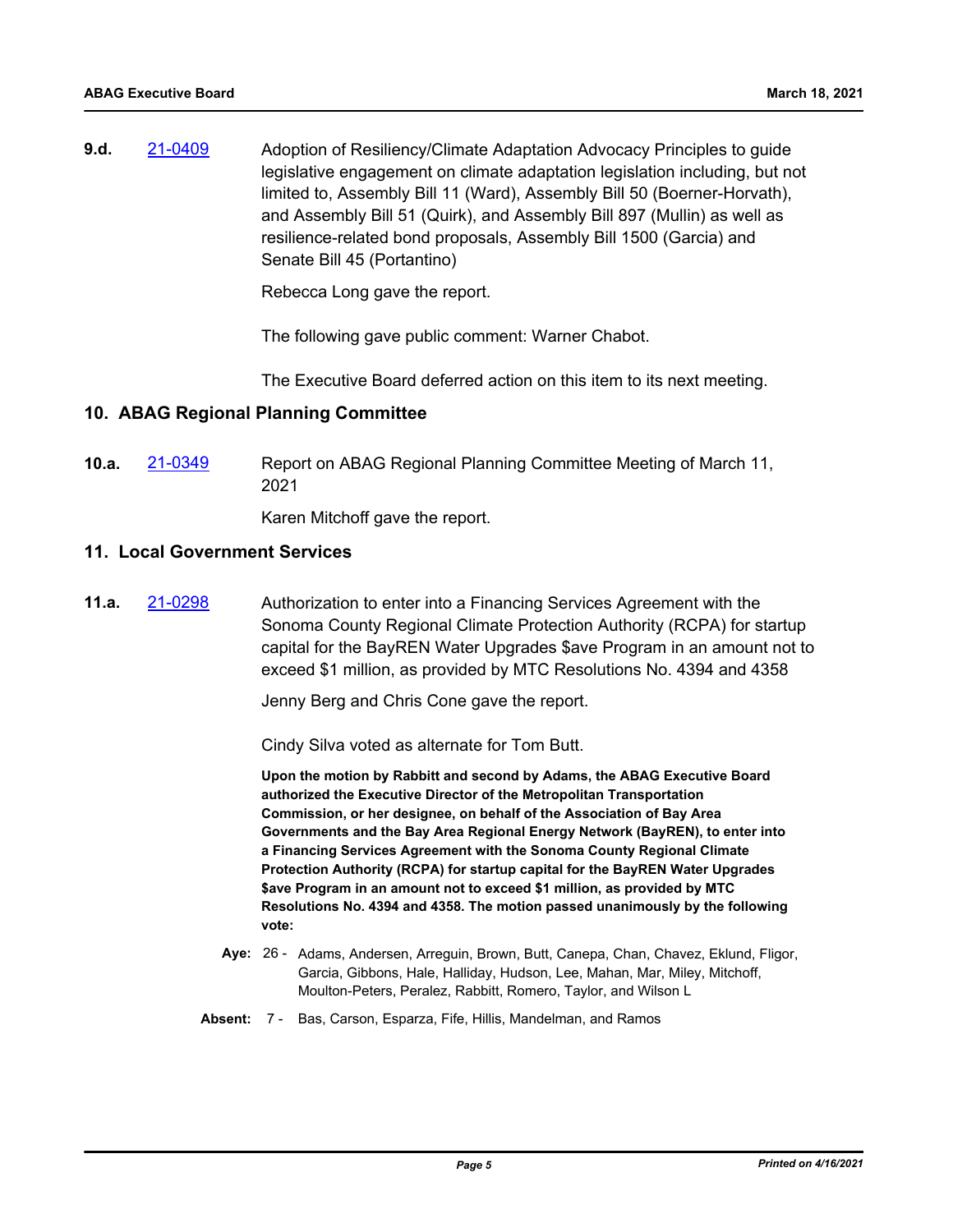**9.d.** [21-0409](http://mtc.legistar.com/gateway.aspx?m=l&id=/matter.aspx?key=22002) Adoption of Resiliency/Climate Adaptation Advocacy Principles to guide legislative engagement on climate adaptation legislation including, but not limited to, Assembly Bill 11 (Ward), Assembly Bill 50 (Boerner-Horvath), and Assembly Bill 51 (Quirk), and Assembly Bill 897 (Mullin) as well as resilience-related bond proposals, Assembly Bill 1500 (Garcia) and Senate Bill 45 (Portantino)

Rebecca Long gave the report.

The following gave public comment: Warner Chabot.

The Executive Board deferred action on this item to its next meeting.

#### **10. ABAG Regional Planning Committee**

**10.a.** [21-0349](http://mtc.legistar.com/gateway.aspx?m=l&id=/matter.aspx?key=21942) Report on ABAG Regional Planning Committee Meeting of March 11, 2021

Karen Mitchoff gave the report.

#### **11. Local Government Services**

**11.a.** [21-0298](http://mtc.legistar.com/gateway.aspx?m=l&id=/matter.aspx?key=21891) Authorization to enter into a Financing Services Agreement with the Sonoma County Regional Climate Protection Authority (RCPA) for startup capital for the BayREN Water Upgrades \$ave Program in an amount not to exceed \$1 million, as provided by MTC Resolutions No. 4394 and 4358

Jenny Berg and Chris Cone gave the report.

Cindy Silva voted as alternate for Tom Butt.

**Upon the motion by Rabbitt and second by Adams, the ABAG Executive Board authorized the Executive Director of the Metropolitan Transportation Commission, or her designee, on behalf of the Association of Bay Area Governments and the Bay Area Regional Energy Network (BayREN), to enter into a Financing Services Agreement with the Sonoma County Regional Climate Protection Authority (RCPA) for startup capital for the BayREN Water Upgrades \$ave Program in an amount not to exceed \$1 million, as provided by MTC Resolutions No. 4394 and 4358. The motion passed unanimously by the following vote:**

- Aye: 26 Adams, Andersen, Arreguin, Brown, Butt, Canepa, Chan, Chavez, Eklund, Fligor, Garcia, Gibbons, Hale, Halliday, Hudson, Lee, Mahan, Mar, Miley, Mitchoff, Moulton-Peters, Peralez, Rabbitt, Romero, Taylor, and Wilson L
- **Absent:** 7 Bas, Carson, Esparza, Fife, Hillis, Mandelman, and Ramos